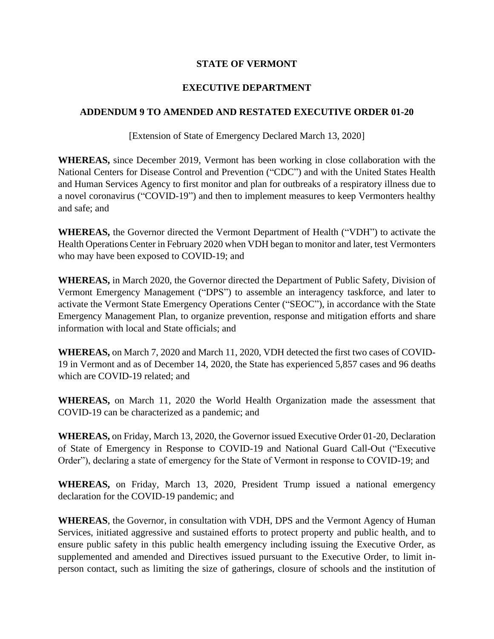## **STATE OF VERMONT**

## **EXECUTIVE DEPARTMENT**

## **ADDENDUM 9 TO AMENDED AND RESTATED EXECUTIVE ORDER 01-20**

[Extension of State of Emergency Declared March 13, 2020]

**WHEREAS,** since December 2019, Vermont has been working in close collaboration with the National Centers for Disease Control and Prevention ("CDC") and with the United States Health and Human Services Agency to first monitor and plan for outbreaks of a respiratory illness due to a novel coronavirus ("COVID-19") and then to implement measures to keep Vermonters healthy and safe; and

**WHEREAS,** the Governor directed the Vermont Department of Health ("VDH") to activate the Health Operations Center in February 2020 when VDH began to monitor and later, test Vermonters who may have been exposed to COVID-19; and

**WHEREAS,** in March 2020, the Governor directed the Department of Public Safety, Division of Vermont Emergency Management ("DPS") to assemble an interagency taskforce, and later to activate the Vermont State Emergency Operations Center ("SEOC"), in accordance with the State Emergency Management Plan, to organize prevention, response and mitigation efforts and share information with local and State officials; and

**WHEREAS,** on March 7, 2020 and March 11, 2020, VDH detected the first two cases of COVID-19 in Vermont and as of December 14, 2020, the State has experienced 5,857 cases and 96 deaths which are COVID-19 related; and

**WHEREAS,** on March 11, 2020 the World Health Organization made the assessment that COVID-19 can be characterized as a pandemic; and

**WHEREAS,** on Friday, March 13, 2020, the Governor issued Executive Order 01-20, Declaration of State of Emergency in Response to COVID-19 and National Guard Call-Out ("Executive Order"), declaring a state of emergency for the State of Vermont in response to COVID-19; and

**WHEREAS,** on Friday, March 13, 2020, President Trump issued a national emergency declaration for the COVID-19 pandemic; and

**WHEREAS**, the Governor, in consultation with VDH, DPS and the Vermont Agency of Human Services, initiated aggressive and sustained efforts to protect property and public health, and to ensure public safety in this public health emergency including issuing the Executive Order, as supplemented and amended and Directives issued pursuant to the Executive Order, to limit inperson contact, such as limiting the size of gatherings, closure of schools and the institution of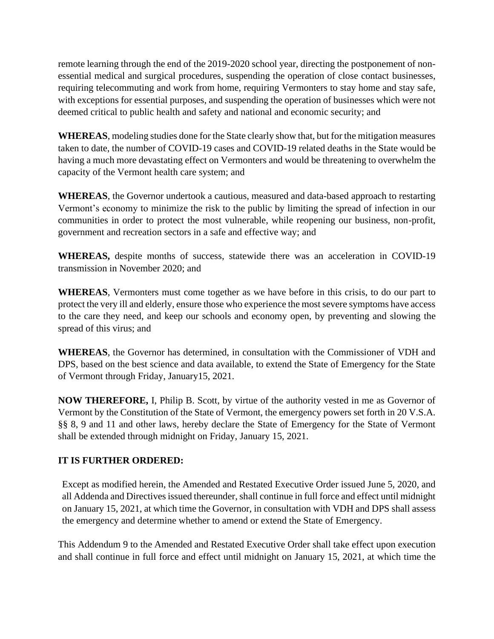remote learning through the end of the 2019-2020 school year, directing the postponement of nonessential medical and surgical procedures, suspending the operation of close contact businesses, requiring telecommuting and work from home, requiring Vermonters to stay home and stay safe, with exceptions for essential purposes, and suspending the operation of businesses which were not deemed critical to public health and safety and national and economic security; and

**WHEREAS**, modeling studies done for the State clearly show that, but for the mitigation measures taken to date, the number of COVID-19 cases and COVID-19 related deaths in the State would be having a much more devastating effect on Vermonters and would be threatening to overwhelm the capacity of the Vermont health care system; and

**WHEREAS**, the Governor undertook a cautious, measured and data-based approach to restarting Vermont's economy to minimize the risk to the public by limiting the spread of infection in our communities in order to protect the most vulnerable, while reopening our business, non-profit, government and recreation sectors in a safe and effective way; and

**WHEREAS,** despite months of success, statewide there was an acceleration in COVID-19 transmission in November 2020; and

**WHEREAS**, Vermonters must come together as we have before in this crisis, to do our part to protect the very ill and elderly, ensure those who experience the most severe symptoms have access to the care they need, and keep our schools and economy open, by preventing and slowing the spread of this virus; and

**WHEREAS**, the Governor has determined, in consultation with the Commissioner of VDH and DPS, based on the best science and data available, to extend the State of Emergency for the State of Vermont through Friday, January15, 2021.

**NOW THEREFORE,** I, Philip B. Scott, by virtue of the authority vested in me as Governor of Vermont by the Constitution of the State of Vermont, the emergency powers set forth in 20 V.S.A. §§ 8, 9 and 11 and other laws, hereby declare the State of Emergency for the State of Vermont shall be extended through midnight on Friday, January 15, 2021.

## **IT IS FURTHER ORDERED:**

Except as modified herein, the Amended and Restated Executive Order issued June 5, 2020, and all Addenda and Directives issued thereunder, shall continue in full force and effect until midnight on January 15, 2021, at which time the Governor, in consultation with VDH and DPS shall assess the emergency and determine whether to amend or extend the State of Emergency.

This Addendum 9 to the Amended and Restated Executive Order shall take effect upon execution and shall continue in full force and effect until midnight on January 15, 2021, at which time the